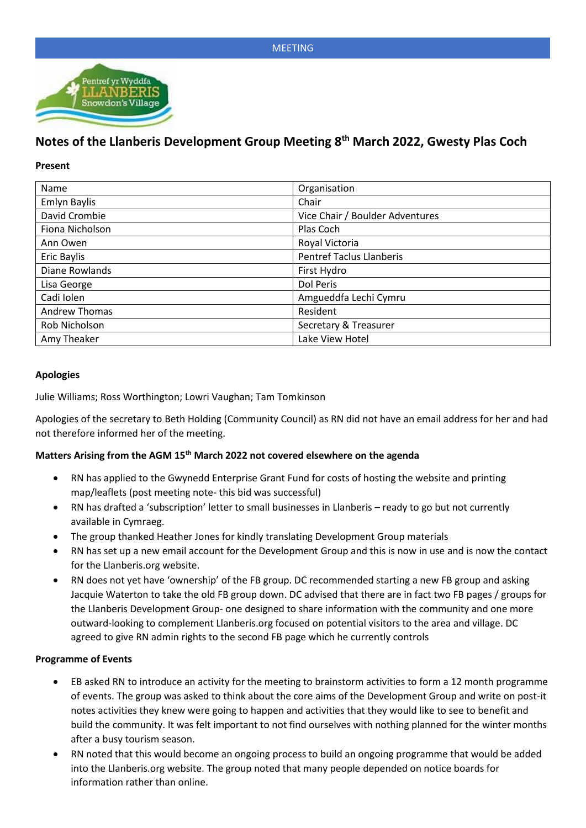

# **Notes of the Llanberis Development Group Meeting 8th March 2022, Gwesty Plas Coch**

#### **Present**

| Name                 | Organisation                    |  |
|----------------------|---------------------------------|--|
| <b>Emlyn Baylis</b>  | Chair                           |  |
| David Crombie        | Vice Chair / Boulder Adventures |  |
| Fiona Nicholson      | Plas Coch                       |  |
| Ann Owen             | Royal Victoria                  |  |
| Eric Baylis          | <b>Pentref Taclus Llanberis</b> |  |
| Diane Rowlands       | First Hydro                     |  |
| Lisa George          | Dol Peris                       |  |
| Cadi Iolen           | Amgueddfa Lechi Cymru           |  |
| <b>Andrew Thomas</b> | Resident                        |  |
| Rob Nicholson        | Secretary & Treasurer           |  |
| Amy Theaker          | Lake View Hotel                 |  |

#### **Apologies**

Julie Williams; Ross Worthington; Lowri Vaughan; Tam Tomkinson

Apologies of the secretary to Beth Holding (Community Council) as RN did not have an email address for her and had not therefore informed her of the meeting.

## **Matters Arising from the AGM 15th March 2022 not covered elsewhere on the agenda**

- RN has applied to the Gwynedd Enterprise Grant Fund for costs of hosting the website and printing map/leaflets (post meeting note- this bid was successful)
- RN has drafted a 'subscription' letter to small businesses in Llanberis ready to go but not currently available in Cymraeg.
- The group thanked Heather Jones for kindly translating Development Group materials
- RN has set up a new email account for the Development Group and this is now in use and is now the contact for the Llanberis.org website.
- RN does not yet have 'ownership' of the FB group. DC recommended starting a new FB group and asking Jacquie Waterton to take the old FB group down. DC advised that there are in fact two FB pages / groups for the Llanberis Development Group- one designed to share information with the community and one more outward-looking to complement Llanberis.org focused on potential visitors to the area and village. DC agreed to give RN admin rights to the second FB page which he currently controls

#### **Programme of Events**

- EB asked RN to introduce an activity for the meeting to brainstorm activities to form a 12 month programme of events. The group was asked to think about the core aims of the Development Group and write on post-it notes activities they knew were going to happen and activities that they would like to see to benefit and build the community. It was felt important to not find ourselves with nothing planned for the winter months after a busy tourism season.
- RN noted that this would become an ongoing process to build an ongoing programme that would be added into the Llanberis.org website. The group noted that many people depended on notice boards for information rather than online.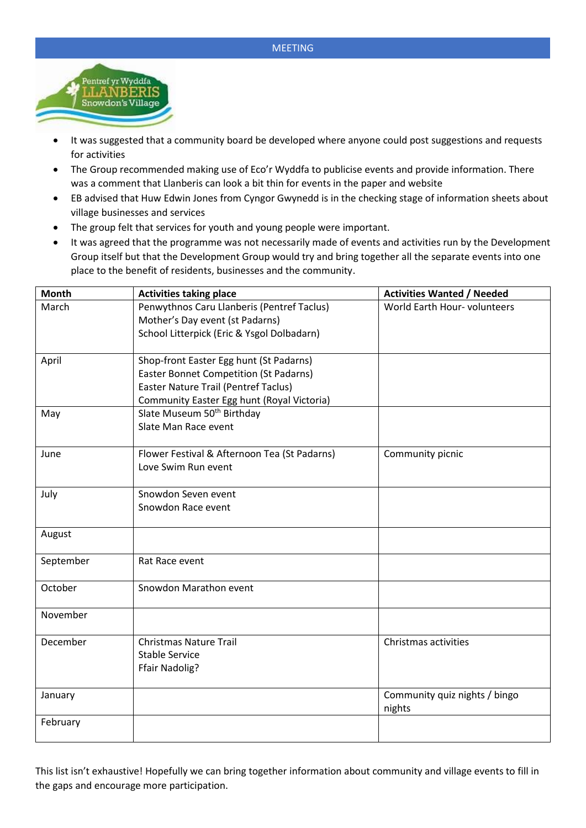

- It was suggested that a community board be developed where anyone could post suggestions and requests for activities
- The Group recommended making use of Eco'r Wyddfa to publicise events and provide information. There was a comment that Llanberis can look a bit thin for events in the paper and website
- EB advised that Huw Edwin Jones from Cyngor Gwynedd is in the checking stage of information sheets about village businesses and services
- The group felt that services for youth and young people were important.
- It was agreed that the programme was not necessarily made of events and activities run by the Development Group itself but that the Development Group would try and bring together all the separate events into one place to the benefit of residents, businesses and the community.

| <b>Month</b> | <b>Activities taking place</b>                | <b>Activities Wanted / Needed</b> |
|--------------|-----------------------------------------------|-----------------------------------|
| March        | Penwythnos Caru Llanberis (Pentref Taclus)    | World Earth Hour- volunteers      |
|              | Mother's Day event (st Padarns)               |                                   |
|              | School Litterpick (Eric & Ysgol Dolbadarn)    |                                   |
| April        | Shop-front Easter Egg hunt (St Padarns)       |                                   |
|              | <b>Easter Bonnet Competition (St Padarns)</b> |                                   |
|              | Easter Nature Trail (Pentref Taclus)          |                                   |
|              | Community Easter Egg hunt (Royal Victoria)    |                                   |
| May          | Slate Museum 50 <sup>th</sup> Birthday        |                                   |
|              | Slate Man Race event                          |                                   |
|              |                                               |                                   |
| June         | Flower Festival & Afternoon Tea (St Padarns)  | Community picnic                  |
|              | Love Swim Run event                           |                                   |
|              |                                               |                                   |
| July         | Snowdon Seven event                           |                                   |
|              | Snowdon Race event                            |                                   |
|              |                                               |                                   |
| August       |                                               |                                   |
| September    | Rat Race event                                |                                   |
|              |                                               |                                   |
| October      | Snowdon Marathon event                        |                                   |
|              |                                               |                                   |
| November     |                                               |                                   |
| December     | <b>Christmas Nature Trail</b>                 | Christmas activities              |
|              | <b>Stable Service</b>                         |                                   |
|              | <b>Ffair Nadolig?</b>                         |                                   |
|              |                                               |                                   |
| January      |                                               | Community quiz nights / bingo     |
|              |                                               | nights                            |
| February     |                                               |                                   |
|              |                                               |                                   |

This list isn't exhaustive! Hopefully we can bring together information about community and village events to fill in the gaps and encourage more participation.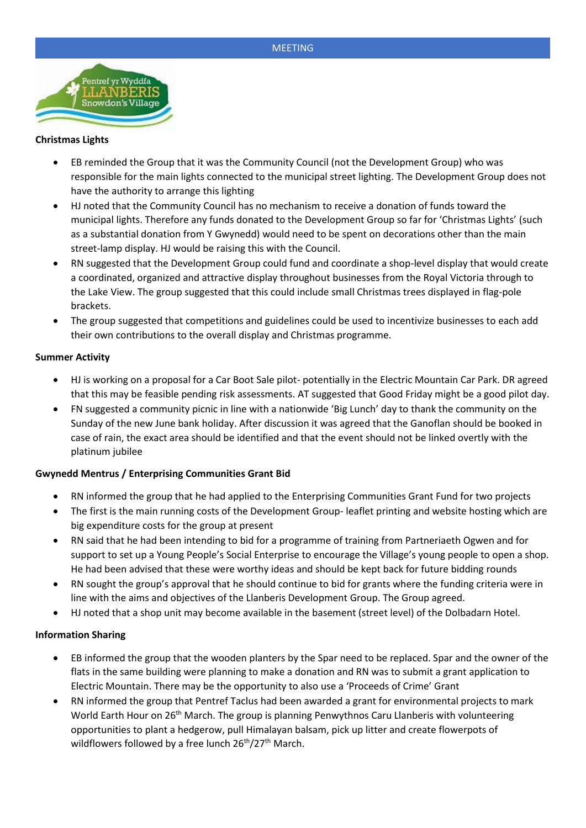

#### **Christmas Lights**

- EB reminded the Group that it was the Community Council (not the Development Group) who was responsible for the main lights connected to the municipal street lighting. The Development Group does not have the authority to arrange this lighting
- HJ noted that the Community Council has no mechanism to receive a donation of funds toward the municipal lights. Therefore any funds donated to the Development Group so far for 'Christmas Lights' (such as a substantial donation from Y Gwynedd) would need to be spent on decorations other than the main street-lamp display. HJ would be raising this with the Council.
- RN suggested that the Development Group could fund and coordinate a shop-level display that would create a coordinated, organized and attractive display throughout businesses from the Royal Victoria through to the Lake View. The group suggested that this could include small Christmas trees displayed in flag-pole brackets.
- The group suggested that competitions and guidelines could be used to incentivize businesses to each add their own contributions to the overall display and Christmas programme.

## **Summer Activity**

- HJ is working on a proposal for a Car Boot Sale pilot- potentially in the Electric Mountain Car Park. DR agreed that this may be feasible pending risk assessments. AT suggested that Good Friday might be a good pilot day.
- FN suggested a community picnic in line with a nationwide 'Big Lunch' day to thank the community on the Sunday of the new June bank holiday. After discussion it was agreed that the Ganoflan should be booked in case of rain, the exact area should be identified and that the event should not be linked overtly with the platinum jubilee

## **Gwynedd Mentrus / Enterprising Communities Grant Bid**

- RN informed the group that he had applied to the Enterprising Communities Grant Fund for two projects
- The first is the main running costs of the Development Group- leaflet printing and website hosting which are big expenditure costs for the group at present
- RN said that he had been intending to bid for a programme of training from Partneriaeth Ogwen and for support to set up a Young People's Social Enterprise to encourage the Village's young people to open a shop. He had been advised that these were worthy ideas and should be kept back for future bidding rounds
- RN sought the group's approval that he should continue to bid for grants where the funding criteria were in line with the aims and objectives of the Llanberis Development Group. The Group agreed.
- HJ noted that a shop unit may become available in the basement (street level) of the Dolbadarn Hotel.

## **Information Sharing**

- EB informed the group that the wooden planters by the Spar need to be replaced. Spar and the owner of the flats in the same building were planning to make a donation and RN was to submit a grant application to Electric Mountain. There may be the opportunity to also use a 'Proceeds of Crime' Grant
- RN informed the group that Pentref Taclus had been awarded a grant for environmental projects to mark World Earth Hour on 26<sup>th</sup> March. The group is planning Penwythnos Caru Llanberis with volunteering opportunities to plant a hedgerow, pull Himalayan balsam, pick up litter and create flowerpots of wildflowers followed by a free lunch 26<sup>th</sup>/27<sup>th</sup> March.